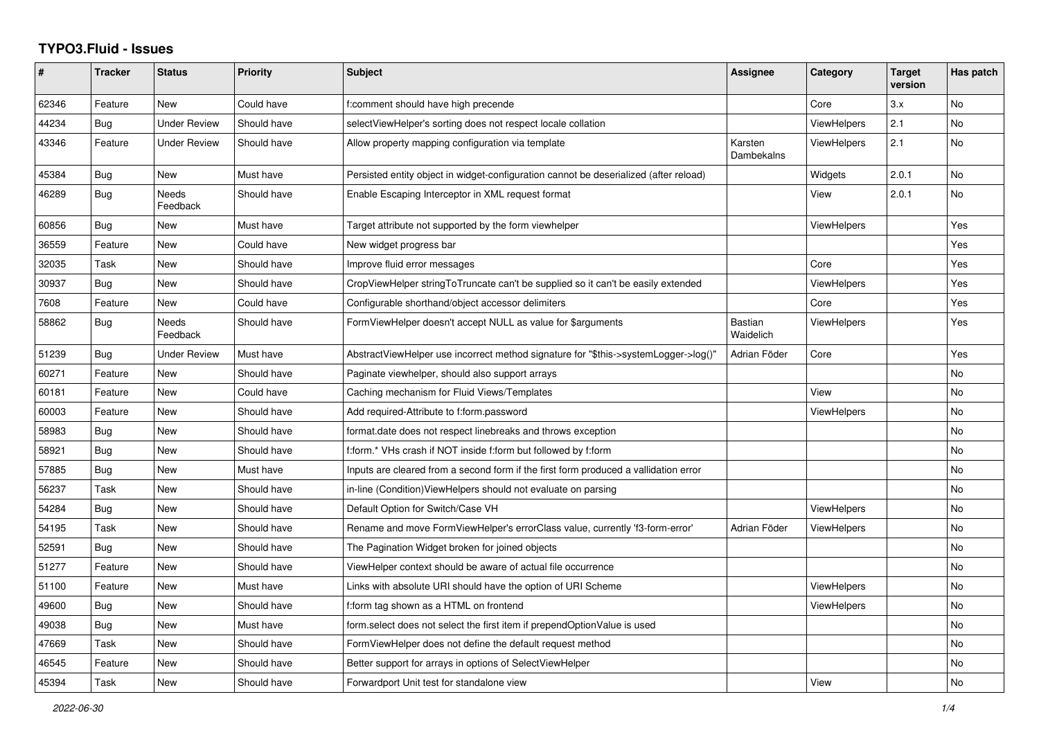## **TYPO3.Fluid - Issues**

| #     | <b>Tracker</b> | <b>Status</b>       | <b>Priority</b> | <b>Subject</b>                                                                        | Assignee                    | Category           | <b>Target</b><br>version | Has patch |
|-------|----------------|---------------------|-----------------|---------------------------------------------------------------------------------------|-----------------------------|--------------------|--------------------------|-----------|
| 62346 | Feature        | New                 | Could have      | f:comment should have high precende                                                   |                             | Core               | 3.x                      | No        |
| 44234 | Bug            | <b>Under Review</b> | Should have     | selectViewHelper's sorting does not respect locale collation                          |                             | ViewHelpers        | 2.1                      | <b>No</b> |
| 43346 | Feature        | <b>Under Review</b> | Should have     | Allow property mapping configuration via template                                     | Karsten<br>Dambekalns       | ViewHelpers        | 2.1                      | <b>No</b> |
| 45384 | Bug            | New                 | Must have       | Persisted entity object in widget-configuration cannot be deserialized (after reload) |                             | Widgets            | 2.0.1                    | <b>No</b> |
| 46289 | <b>Bug</b>     | Needs<br>Feedback   | Should have     | Enable Escaping Interceptor in XML request format                                     |                             | View               | 2.0.1                    | No        |
| 60856 | <b>Bug</b>     | New                 | Must have       | Target attribute not supported by the form viewhelper                                 |                             | <b>ViewHelpers</b> |                          | Yes       |
| 36559 | Feature        | New                 | Could have      | New widget progress bar                                                               |                             |                    |                          | Yes       |
| 32035 | Task           | New                 | Should have     | Improve fluid error messages                                                          |                             | Core               |                          | Yes       |
| 30937 | Bug            | New                 | Should have     | CropViewHelper stringToTruncate can't be supplied so it can't be easily extended      |                             | <b>ViewHelpers</b> |                          | Yes       |
| 7608  | Feature        | <b>New</b>          | Could have      | Configurable shorthand/object accessor delimiters                                     |                             | Core               |                          | Yes       |
| 58862 | <b>Bug</b>     | Needs<br>Feedback   | Should have     | FormViewHelper doesn't accept NULL as value for \$arguments                           | <b>Bastian</b><br>Waidelich | <b>ViewHelpers</b> |                          | Yes       |
| 51239 | <b>Bug</b>     | <b>Under Review</b> | Must have       | AbstractViewHelper use incorrect method signature for "\$this->systemLogger->log()"   | Adrian Föder                | Core               |                          | Yes       |
| 60271 | Feature        | New                 | Should have     | Paginate viewhelper, should also support arrays                                       |                             |                    |                          | <b>No</b> |
| 60181 | Feature        | New                 | Could have      | Caching mechanism for Fluid Views/Templates                                           |                             | View               |                          | No        |
| 60003 | Feature        | New                 | Should have     | Add required-Attribute to f:form.password                                             |                             | ViewHelpers        |                          | No        |
| 58983 | Bug            | New                 | Should have     | format.date does not respect linebreaks and throws exception                          |                             |                    |                          | <b>No</b> |
| 58921 | Bug            | New                 | Should have     | f:form.* VHs crash if NOT inside f:form but followed by f:form                        |                             |                    |                          | <b>No</b> |
| 57885 | <b>Bug</b>     | New                 | Must have       | Inputs are cleared from a second form if the first form produced a vallidation error  |                             |                    |                          | No        |
| 56237 | Task           | New                 | Should have     | in-line (Condition) View Helpers should not evaluate on parsing                       |                             |                    |                          | No        |
| 54284 | Bug            | New                 | Should have     | Default Option for Switch/Case VH                                                     |                             | <b>ViewHelpers</b> |                          | No        |
| 54195 | Task           | New                 | Should have     | Rename and move FormViewHelper's errorClass value, currently 'f3-form-error'          | Adrian Föder                | <b>ViewHelpers</b> |                          | No        |
| 52591 | Bug            | New                 | Should have     | The Pagination Widget broken for joined objects                                       |                             |                    |                          | No        |
| 51277 | Feature        | New                 | Should have     | ViewHelper context should be aware of actual file occurrence                          |                             |                    |                          | <b>No</b> |
| 51100 | Feature        | <b>New</b>          | Must have       | Links with absolute URI should have the option of URI Scheme                          |                             | <b>ViewHelpers</b> |                          | <b>No</b> |
| 49600 | Bug            | New                 | Should have     | f:form tag shown as a HTML on frontend                                                |                             | <b>ViewHelpers</b> |                          | <b>No</b> |
| 49038 | Bug            | New                 | Must have       | form.select does not select the first item if prependOptionValue is used              |                             |                    |                          | No        |
| 47669 | Task           | New                 | Should have     | FormViewHelper does not define the default request method                             |                             |                    |                          | No        |
| 46545 | Feature        | New                 | Should have     | Better support for arrays in options of SelectViewHelper                              |                             |                    |                          | No        |
| 45394 | Task           | <b>New</b>          | Should have     | Forwardport Unit test for standalone view                                             |                             | View               |                          | <b>No</b> |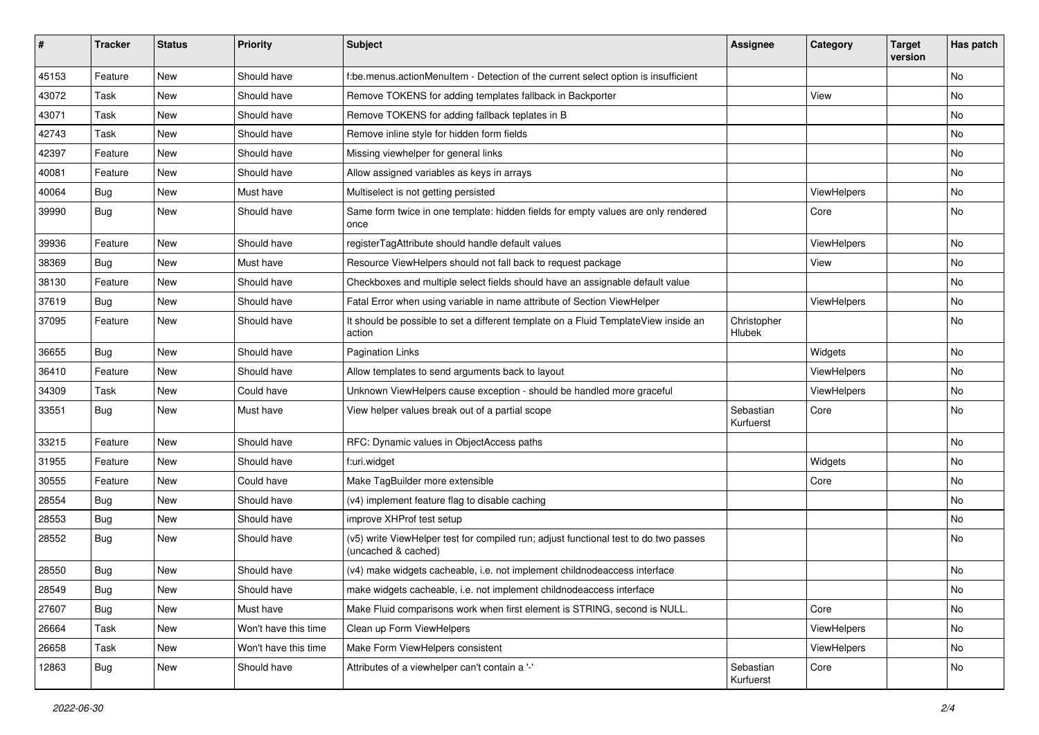| #     | <b>Tracker</b> | <b>Status</b> | <b>Priority</b>      | <b>Subject</b>                                                                                              | <b>Assignee</b>        | Category    | <b>Target</b><br>version | Has patch |
|-------|----------------|---------------|----------------------|-------------------------------------------------------------------------------------------------------------|------------------------|-------------|--------------------------|-----------|
| 45153 | Feature        | New           | Should have          | f:be.menus.actionMenuItem - Detection of the current select option is insufficient                          |                        |             |                          | <b>No</b> |
| 43072 | Task           | New           | Should have          | Remove TOKENS for adding templates fallback in Backporter                                                   |                        | View        |                          | No        |
| 43071 | Task           | New           | Should have          | Remove TOKENS for adding fallback teplates in B                                                             |                        |             |                          | No        |
| 42743 | Task           | New           | Should have          | Remove inline style for hidden form fields                                                                  |                        |             |                          | No        |
| 42397 | Feature        | New           | Should have          | Missing viewhelper for general links                                                                        |                        |             |                          | No        |
| 40081 | Feature        | New           | Should have          | Allow assigned variables as keys in arrays                                                                  |                        |             |                          | No        |
| 40064 | Bug            | New           | Must have            | Multiselect is not getting persisted                                                                        |                        | ViewHelpers |                          | No        |
| 39990 | Bug            | New           | Should have          | Same form twice in one template: hidden fields for empty values are only rendered<br>once                   |                        | Core        |                          | No        |
| 39936 | Feature        | New           | Should have          | registerTagAttribute should handle default values                                                           |                        | ViewHelpers |                          | No        |
| 38369 | Bug            | New           | Must have            | Resource ViewHelpers should not fall back to request package                                                |                        | View        |                          | <b>No</b> |
| 38130 | Feature        | New           | Should have          | Checkboxes and multiple select fields should have an assignable default value                               |                        |             |                          | No        |
| 37619 | Bug            | New           | Should have          | Fatal Error when using variable in name attribute of Section ViewHelper                                     |                        | ViewHelpers |                          | No        |
| 37095 | Feature        | New           | Should have          | It should be possible to set a different template on a Fluid TemplateView inside an<br>action               | Christopher<br>Hlubek  |             |                          | No        |
| 36655 | Bug            | New           | Should have          | <b>Pagination Links</b>                                                                                     |                        | Widgets     |                          | No        |
| 36410 | Feature        | New           | Should have          | Allow templates to send arguments back to layout                                                            |                        | ViewHelpers |                          | <b>No</b> |
| 34309 | Task           | New           | Could have           | Unknown ViewHelpers cause exception - should be handled more graceful                                       |                        | ViewHelpers |                          | No        |
| 33551 | Bug            | New           | Must have            | View helper values break out of a partial scope                                                             | Sebastian<br>Kurfuerst | Core        |                          | No        |
| 33215 | Feature        | New           | Should have          | RFC: Dynamic values in ObjectAccess paths                                                                   |                        |             |                          | <b>No</b> |
| 31955 | Feature        | New           | Should have          | f:uri.widget                                                                                                |                        | Widgets     |                          | No        |
| 30555 | Feature        | New           | Could have           | Make TagBuilder more extensible                                                                             |                        | Core        |                          | No        |
| 28554 | Bug            | New           | Should have          | (v4) implement feature flag to disable caching                                                              |                        |             |                          | No        |
| 28553 | Bug            | New           | Should have          | improve XHProf test setup                                                                                   |                        |             |                          | No        |
| 28552 | Bug            | New           | Should have          | (v5) write ViewHelper test for compiled run; adjust functional test to do two passes<br>(uncached & cached) |                        |             |                          | No        |
| 28550 | <b>Bug</b>     | New           | Should have          | (v4) make widgets cacheable, i.e. not implement childnodeaccess interface                                   |                        |             |                          | No        |
| 28549 | <b>Bug</b>     | New           | Should have          | make widgets cacheable, i.e. not implement childnodeaccess interface                                        |                        |             |                          | N0        |
| 27607 | <b>Bug</b>     | New           | Must have            | Make Fluid comparisons work when first element is STRING, second is NULL.                                   |                        | Core        |                          | No        |
| 26664 | Task           | New           | Won't have this time | Clean up Form ViewHelpers                                                                                   |                        | ViewHelpers |                          | No        |
| 26658 | Task           | New           | Won't have this time | Make Form ViewHelpers consistent                                                                            |                        | ViewHelpers |                          | No        |
| 12863 | <b>Bug</b>     | New           | Should have          | Attributes of a viewhelper can't contain a '-'                                                              | Sebastian<br>Kurfuerst | Core        |                          | No        |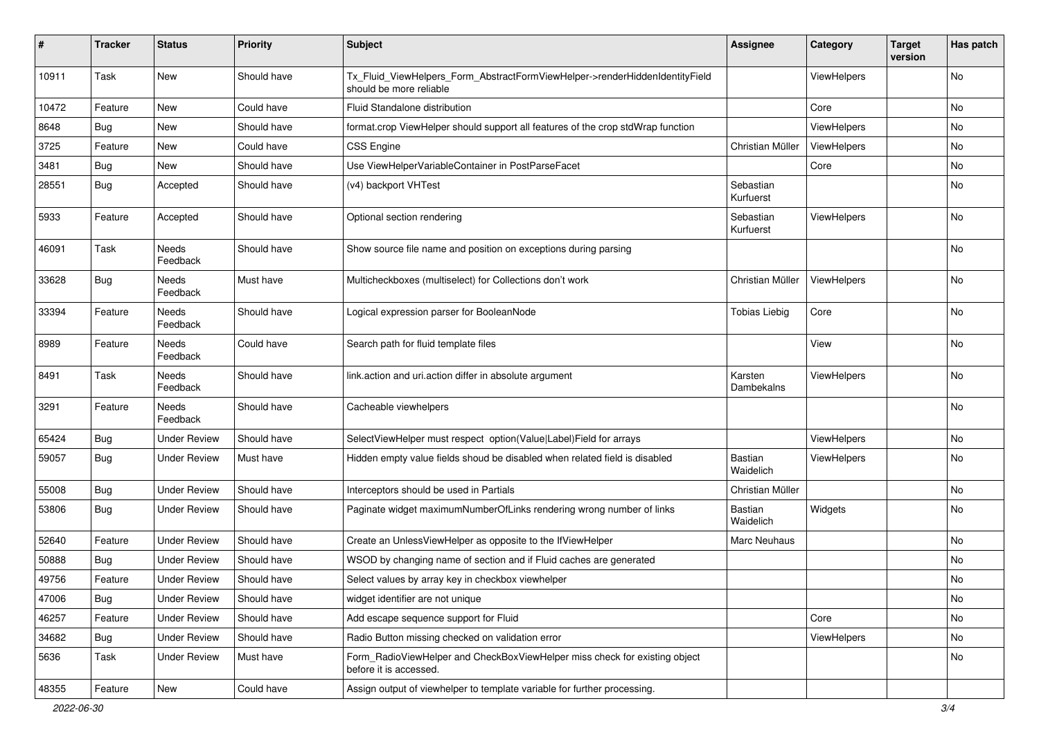| #     | <b>Tracker</b> | <b>Status</b>       | <b>Priority</b> | Subject                                                                                                | <b>Assignee</b>             | Category    | <b>Target</b><br>version | Has patch |
|-------|----------------|---------------------|-----------------|--------------------------------------------------------------------------------------------------------|-----------------------------|-------------|--------------------------|-----------|
| 10911 | Task           | New                 | Should have     | Tx_Fluid_ViewHelpers_Form_AbstractFormViewHelper->renderHiddenIdentityField<br>should be more reliable |                             | ViewHelpers |                          | No        |
| 10472 | Feature        | New                 | Could have      | Fluid Standalone distribution                                                                          |                             | Core        |                          | No        |
| 8648  | Bug            | New                 | Should have     | format.crop ViewHelper should support all features of the crop stdWrap function                        |                             | ViewHelpers |                          | No        |
| 3725  | Feature        | New                 | Could have      | <b>CSS Engine</b>                                                                                      | Christian Müller            | ViewHelpers |                          | No        |
| 3481  | Bug            | New                 | Should have     | Use ViewHelperVariableContainer in PostParseFacet                                                      |                             | Core        |                          | No        |
| 28551 | Bug            | Accepted            | Should have     | (v4) backport VHTest                                                                                   | Sebastian<br>Kurfuerst      |             |                          | No        |
| 5933  | Feature        | Accepted            | Should have     | Optional section rendering                                                                             | Sebastian<br>Kurfuerst      | ViewHelpers |                          | No        |
| 46091 | Task           | Needs<br>Feedback   | Should have     | Show source file name and position on exceptions during parsing                                        |                             |             |                          | No        |
| 33628 | Bug            | Needs<br>Feedback   | Must have       | Multicheckboxes (multiselect) for Collections don't work                                               | Christian Müller            | ViewHelpers |                          | No        |
| 33394 | Feature        | Needs<br>Feedback   | Should have     | Logical expression parser for BooleanNode                                                              | <b>Tobias Liebig</b>        | Core        |                          | <b>No</b> |
| 8989  | Feature        | Needs<br>Feedback   | Could have      | Search path for fluid template files                                                                   |                             | View        |                          | No        |
| 8491  | Task           | Needs<br>Feedback   | Should have     | link.action and uri.action differ in absolute argument                                                 | Karsten<br>Dambekalns       | ViewHelpers |                          | No        |
| 3291  | Feature        | Needs<br>Feedback   | Should have     | Cacheable viewhelpers                                                                                  |                             |             |                          | No        |
| 65424 | Bug            | <b>Under Review</b> | Should have     | SelectViewHelper must respect option(Value Label)Field for arrays                                      |                             | ViewHelpers |                          | No        |
| 59057 | Bug            | Under Review        | Must have       | Hidden empty value fields shoud be disabled when related field is disabled                             | <b>Bastian</b><br>Waidelich | ViewHelpers |                          | No        |
| 55008 | Bug            | <b>Under Review</b> | Should have     | Interceptors should be used in Partials                                                                | Christian Müller            |             |                          | No        |
| 53806 | Bug            | <b>Under Review</b> | Should have     | Paginate widget maximumNumberOfLinks rendering wrong number of links                                   | Bastian<br>Waidelich        | Widgets     |                          | No        |
| 52640 | Feature        | <b>Under Review</b> | Should have     | Create an UnlessViewHelper as opposite to the IfViewHelper                                             | Marc Neuhaus                |             |                          | No        |
| 50888 | Bug            | <b>Under Review</b> | Should have     | WSOD by changing name of section and if Fluid caches are generated                                     |                             |             |                          | No        |
| 49756 | Feature        | <b>Under Review</b> | Should have     | Select values by array key in checkbox viewhelper                                                      |                             |             |                          | No        |
| 47006 | Bug            | <b>Under Review</b> | Should have     | widget identifier are not unique                                                                       |                             |             |                          | No        |
| 46257 | Feature        | <b>Under Review</b> | Should have     | Add escape sequence support for Fluid                                                                  |                             | Core        |                          | No        |
| 34682 | <b>Bug</b>     | <b>Under Review</b> | Should have     | Radio Button missing checked on validation error                                                       |                             | ViewHelpers |                          | No        |
| 5636  | Task           | <b>Under Review</b> | Must have       | Form_RadioViewHelper and CheckBoxViewHelper miss check for existing object<br>before it is accessed.   |                             |             |                          | No        |
| 48355 | Feature        | New                 | Could have      | Assign output of viewhelper to template variable for further processing.                               |                             |             |                          |           |